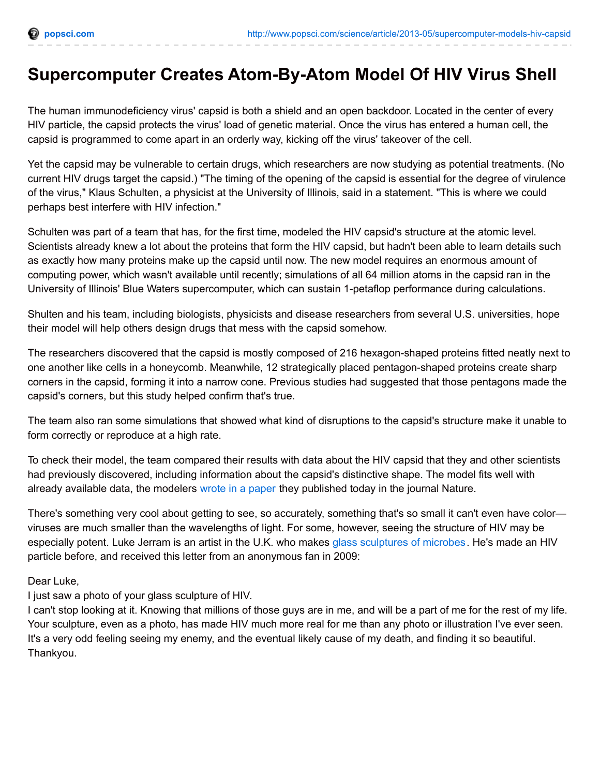## **Supercomputer Creates Atom-By-Atom Model Of HIV Virus Shell**

The human immunodeficiency virus' capsid is both a shield and an open backdoor. Located in the center of every HIV particle, the capsid protects the virus' load of genetic material. Once the virus has entered a human cell, the capsid is programmed to come apart in an orderly way, kicking off the virus' takeover of the cell.

Yet the capsid may be vulnerable to certain drugs, which researchers are now studying as potential treatments. (No current HIV drugs target the capsid.) "The timing of the opening of the capsid is essential for the degree of virulence of the virus," Klaus Schulten, a physicist at the University of Illinois, said in a statement. "This is where we could perhaps best interfere with HIV infection."

Schulten was part of a team that has, for the first time, modeled the HIV capsid's structure at the atomic level. Scientists already knew a lot about the proteins that form the HIV capsid, but hadn't been able to learn details such as exactly how many proteins make up the capsid until now. The new model requires an enormous amount of computing power, which wasn't available until recently; simulations of all 64 million atoms in the capsid ran in the University of Illinois' Blue Waters supercomputer, which can sustain 1-petaflop performance during calculations.

Shulten and his team, including biologists, physicists and disease researchers from several U.S. universities, hope their model will help others design drugs that mess with the capsid somehow.

The researchers discovered that the capsid is mostly composed of 216 hexagon-shaped proteins fitted neatly next to one another like cells in a honeycomb. Meanwhile, 12 strategically placed pentagon-shaped proteins create sharp corners in the capsid, forming it into a narrow cone. Previous studies had suggested that those pentagons made the capsid's corners, but this study helped confirm that's true.

The team also ran some simulations that showed what kind of disruptions to the capsid's structure make it unable to form correctly or reproduce at a high rate.

To check their model, the team compared their results with data about the HIV capsid that they and other scientists had previously discovered, including information about the capsid's distinctive shape. The model fits well with already available data, the modelers wrote in a [paper](http://dx.doi.org/10.1038/nature12162) they published today in the journal Nature.

There's something very cool about getting to see, so accurately, something that's so small it can't even have color viruses are much smaller than the wavelengths of light. For some, however, seeing the structure of HIV may be especially potent. Luke Jerram is an artist in the U.K. who makes glass [sculptures](http://www.lukejerram.com/glass/gallery/hiv) of microbes. He's made an HIV particle before, and received this letter from an anonymous fan in 2009:

Dear Luke,

I just saw a photo of your glass sculpture of HIV.

I can't stop looking at it. Knowing that millions of those guys are in me, and will be a part of me for the rest of my life. Your sculpture, even as a photo, has made HIV much more real for me than any photo or illustration I've ever seen. It's a very odd feeling seeing my enemy, and the eventual likely cause of my death, and finding it so beautiful. Thankyou.